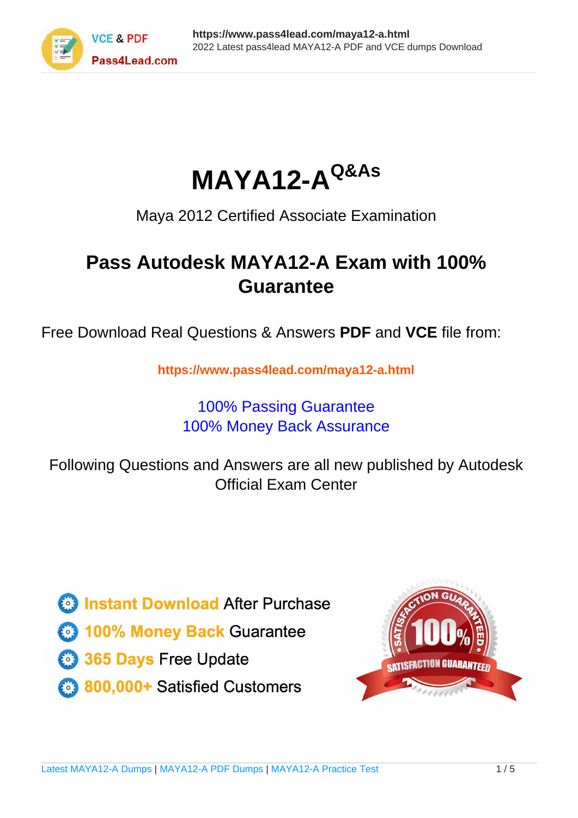



Maya 2012 Certified Associate Examination

## **Pass Autodesk MAYA12-A Exam with 100% Guarantee**

Free Download Real Questions & Answers **PDF** and **VCE** file from:

**https://www.pass4lead.com/maya12-a.html**

### 100% Passing Guarantee 100% Money Back Assurance

Following Questions and Answers are all new published by Autodesk Official Exam Center

**63 Instant Download After Purchase** 

- **@ 100% Money Back Guarantee**
- 365 Days Free Update
- 800,000+ Satisfied Customers

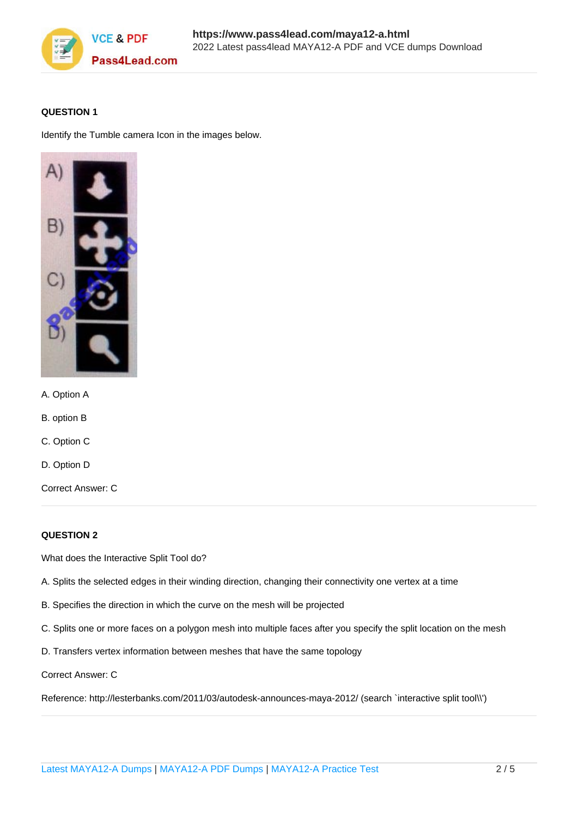

#### **QUESTION 1**

Identify the Tumble camera Icon in the images below.



- A. Option A
- B. option B
- C. Option C
- D. Option D

Correct Answer: C

#### **QUESTION 2**

What does the Interactive Split Tool do?

- A. Splits the selected edges in their winding direction, changing their connectivity one vertex at a time
- B. Specifies the direction in which the curve on the mesh will be projected
- C. Splits one or more faces on a polygon mesh into multiple faces after you specify the split location on the mesh
- D. Transfers vertex information between meshes that have the same topology

Correct Answer: C

Reference: http://lesterbanks.com/2011/03/autodesk-announces-maya-2012/ (search `interactive split tool\\')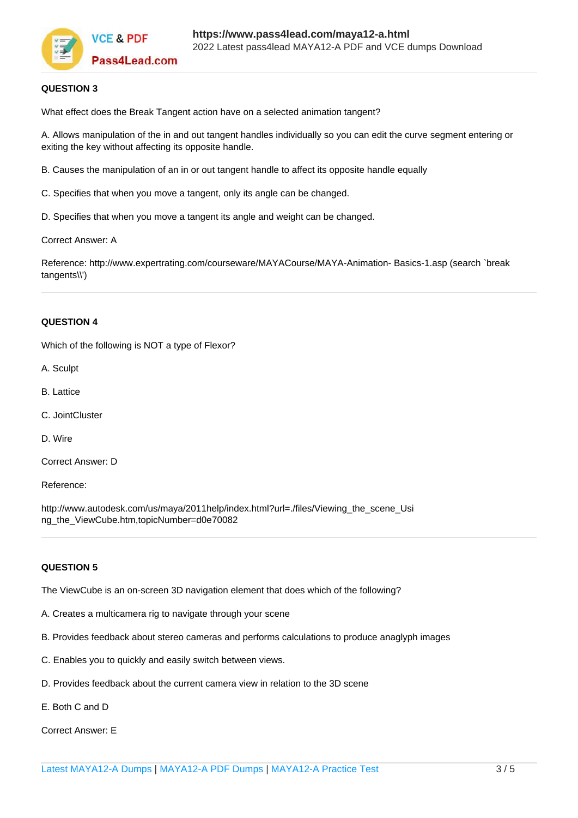

#### **QUESTION 3**

What effect does the Break Tangent action have on a selected animation tangent?

A. Allows manipulation of the in and out tangent handles individually so you can edit the curve segment entering or exiting the key without affecting its opposite handle.

B. Causes the manipulation of an in or out tangent handle to affect its opposite handle equally

C. Specifies that when you move a tangent, only its angle can be changed.

D. Specifies that when you move a tangent its angle and weight can be changed.

Correct Answer: A

Reference: http://www.expertrating.com/courseware/MAYACourse/MAYA-Animation- Basics-1.asp (search `break tangents\\')

#### **QUESTION 4**

Which of the following is NOT a type of Flexor?

- A. Sculpt
- B. Lattice
- C. JointCluster
- D. Wire
- Correct Answer: D

Reference:

http://www.autodesk.com/us/maya/2011help/index.html?url=./files/Viewing\_the\_scene\_Usi ng\_the\_ViewCube.htm,topicNumber=d0e70082

#### **QUESTION 5**

The ViewCube is an on-screen 3D navigation element that does which of the following?

- A. Creates a multicamera rig to navigate through your scene
- B. Provides feedback about stereo cameras and performs calculations to produce anaglyph images
- C. Enables you to quickly and easily switch between views.
- D. Provides feedback about the current camera view in relation to the 3D scene
- E. Both C and D

Correct Answer: E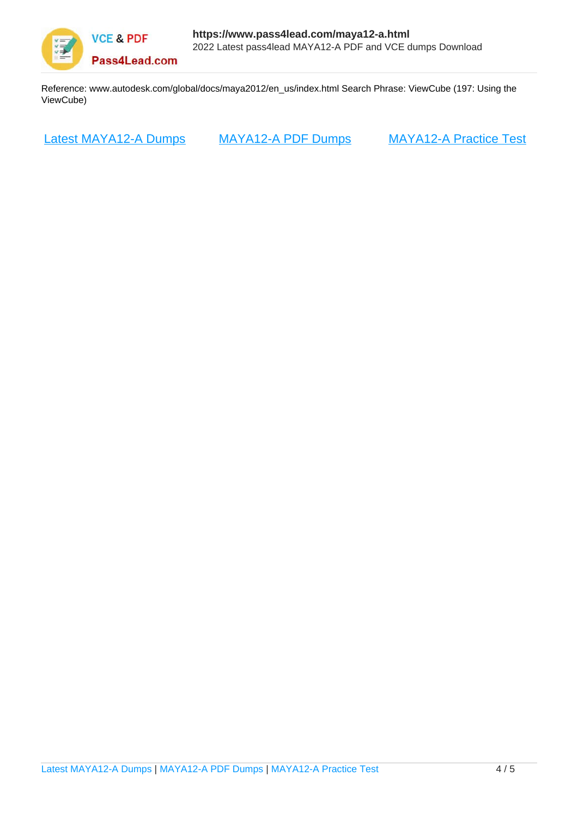

Reference: www.autodesk.com/global/docs/maya2012/en\_us/index.html Search Phrase: ViewCube (197: Using the ViewCube)

[Latest MAYA12-A Dumps](https://www.pass4lead.com/maya12-a.html) [MAYA12-A PDF Dumps](https://www.pass4lead.com/maya12-a.html) [MAYA12-A Practice Test](https://www.pass4lead.com/maya12-a.html)